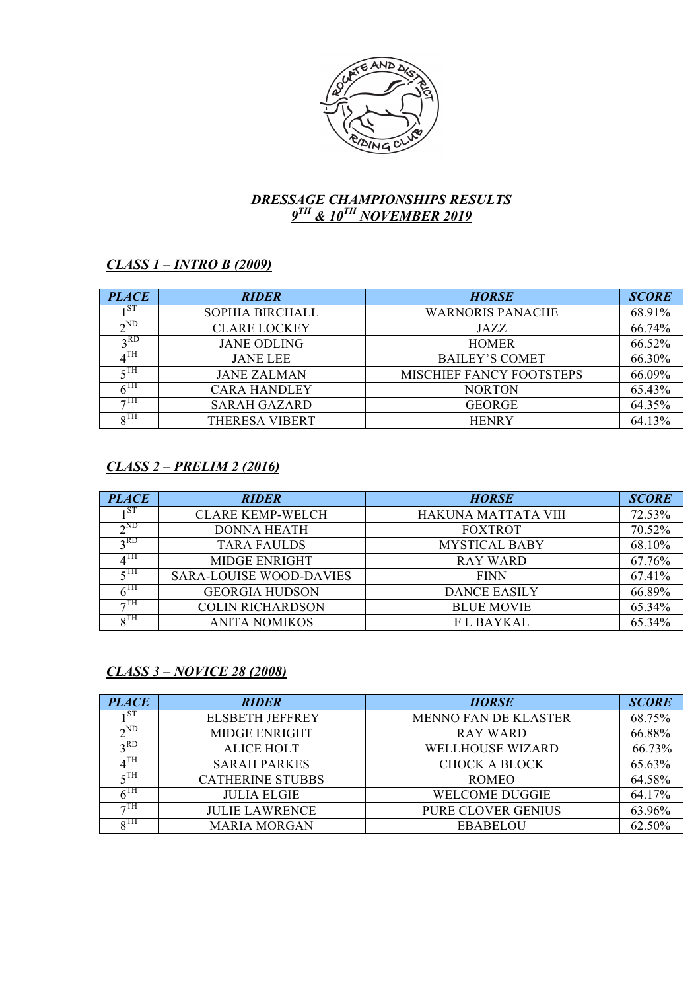

## *DRESSAGE CHAMPIONSHIPS RESULTS 9TH & 10TH NOVEMBER 2019*

# *CLASS 1 – INTRO B (2009)*

| <b>PLACE</b>           | <b>RIDER</b>        | <b>HORSE</b>             | <b>SCORE</b> |
|------------------------|---------------------|--------------------------|--------------|
| 1 ST                   | SOPHIA BIRCHALL     | <b>WARNORIS PANACHE</b>  | 68.91%       |
| $\gamma$ <sub>ND</sub> | <b>CLARE LOCKEY</b> | JAZZ                     | 66.74%       |
| $2$ RD                 | <b>JANE ODLING</b>  | <b>HOMER</b>             | 66.52%       |
| $\Lambda$ TH           | <b>JANE LEE</b>     | <b>BAILEY'S COMET</b>    | 66.30%       |
| $\epsilon$ TH          | <b>JANE ZALMAN</b>  | MISCHIEF FANCY FOOTSTEPS | 66.09%       |
| $6^{\text{TH}}$        | <b>CARA HANDLEY</b> | <b>NORTON</b>            | 65.43%       |
| $\tau$ TH              | <b>SARAH GAZARD</b> | <b>GEORGE</b>            | 64.35%       |
| $\rm _QTH$             | THERESA VIBERT      | <b>HENRY</b>             | 64.13%       |

## *CLASS 2 – PRELIM 2 (2016)*

| <b>PLACE</b>           | <b>RIDER</b>                   | <b>HORSE</b>         | <b>SCORE</b> |
|------------------------|--------------------------------|----------------------|--------------|
| 1 S F                  | <b>CLARE KEMP-WELCH</b>        | HAKUNA MATTATA VIII  | 72.53%       |
| $\gamma$ <sub>ND</sub> | <b>DONNA HEATH</b>             | <b>FOXTROT</b>       | 70.52%       |
| $2$ RD                 | <b>TARA FAULDS</b>             | <b>MYSTICAL BABY</b> | 68.10%       |
| $\Lambda^{\rm TH}$     | <b>MIDGE ENRIGHT</b>           | <b>RAY WARD</b>      | 67.76%       |
| $\epsilon$ TH          | <b>SARA-LOUISE WOOD-DAVIES</b> | <b>FINN</b>          | 67.41%       |
| $6^{\rm TH}$           | <b>GEORGIA HUDSON</b>          | <b>DANCE EASILY</b>  | 66.89%       |
| $\tau$ TH              | <b>COLIN RICHARDSON</b>        | <b>BLUE MOVIE</b>    | 65.34%       |
| $\rm _oTH$             | <b>ANITA NOMIKOS</b>           | <b>FL BAYKAL</b>     | 65.34%       |

# *CLASS 3 – NOVICE 28 (2008)*

| <b>PLACE</b>           | <b>RIDER</b>            | <b>HORSE</b>                | <b>SCORE</b> |
|------------------------|-------------------------|-----------------------------|--------------|
|                        | <b>ELSBETH JEFFREY</b>  | <b>MENNO FAN DE KLASTER</b> | 68.75%       |
| $\gamma$ <sub>ND</sub> | <b>MIDGE ENRIGHT</b>    | <b>RAY WARD</b>             | 66.88%       |
| $2$ RD                 | <b>ALICE HOLT</b>       | <b>WELLHOUSE WIZARD</b>     | 66.73%       |
| $4^{\text{TH}}$        | <b>SARAH PARKES</b>     | <b>CHOCK A BLOCK</b>        | 65.63%       |
| $\epsilon$ TH          | <b>CATHERINE STUBBS</b> | <b>ROMEO</b>                | 64.58%       |
| $6^{\rm{TH}}$          | <b>JULIA ELGIE</b>      | <b>WELCOME DUGGIE</b>       | 64.17%       |
| $\neg$ TH              | <b>JULIE LAWRENCE</b>   | PURE CLOVER GENIUS          | 63.96%       |
| $_{\Omega}$ TH         | <b>MARIA MORGAN</b>     | <b>EBABELOU</b>             | 62.50%       |